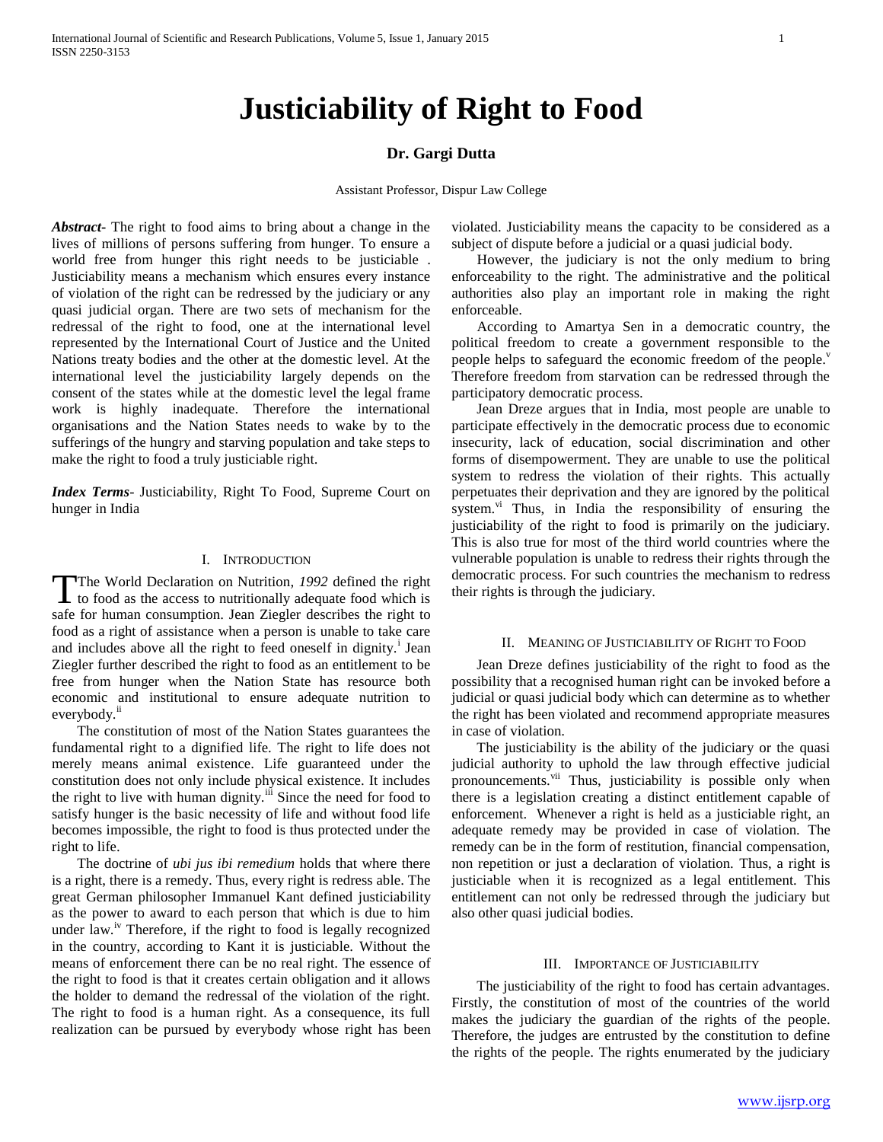# **Justiciability of Right to Food**

# **Dr. Gargi Dutta**

Assistant Professor, Dispur Law College

*Abstract***-** The right to food aims to bring about a change in the lives of millions of persons suffering from hunger. To ensure a world free from hunger this right needs to be justiciable . Justiciability means a mechanism which ensures every instance of violation of the right can be redressed by the judiciary or any quasi judicial organ. There are two sets of mechanism for the redressal of the right to food, one at the international level represented by the International Court of Justice and the United Nations treaty bodies and the other at the domestic level. At the international level the justiciability largely depends on the consent of the states while at the domestic level the legal frame work is highly inadequate. Therefore the international organisations and the Nation States needs to wake by to the sufferings of the hungry and starving population and take steps to make the right to food a truly justiciable right.

*Index Terms*- Justiciability, Right To Food, Supreme Court on hunger in India

#### I. INTRODUCTION

The World Declaration on Nutrition*, 1992* defined the right The World Declaration on Nutrition, 1992 defined the right<br>to food as the access to nutritionally adequate food which is safe for human consumption. Jean Ziegler describes the right to food as a right of assistance when a person is unable to take care and includes above all the right to feed oneself in dignity.<sup>i</sup> Jean Ziegler further described the right to food as an entitlement to be free from hunger when the Nation State has resource both economic and institutional to ensure adequate nutrition to everybody.<sup>ii</sup>

 The constitution of most of the Nation States guarantees the fundamental right to a dignified life. The right to life does not merely means animal existence. Life guaranteed under the constitution does not only include physical existence. It includes the right to live with human dignity.<sup>iii</sup> Since the need for food to satisfy hunger is the basic necessity of life and without food life becomes impossible, the right to food is thus protected under the right to life.

 The doctrine of *ubi jus ibi remedium* holds that where there is a right, there is a remedy. Thus, every right is redress able. The great German philosopher Immanuel Kant defined justiciability as the power to award to each person that which is due to him under law. $i<sup>v</sup>$  Therefore, if the right to food is legally recognized in the country, according to Kant it is justiciable. Without the means of enforcement there can be no real right. The essence of the right to food is that it creates certain obligation and it allows the holder to demand the redressal of the violation of the right. The right to food is a human right. As a consequence, its full realization can be pursued by everybody whose right has been

violated. Justiciability means the capacity to be considered as a subject of dispute before a judicial or a quasi judicial body.

 However, the judiciary is not the only medium to bring enforceability to the right. The administrative and the political authorities also play an important role in making the right enforceable.

 According to Amartya Sen in a democratic country, the political freedom to create a government responsible to the people helps to safeguard the economic freedom of the people. $\overline{v}$ Therefore freedom from starvation can be redressed through the participatory democratic process.

 Jean Dreze argues that in India, most people are unable to participate effectively in the democratic process due to economic insecurity, lack of education, social discrimination and other forms of disempowerment. They are unable to use the political system to redress the violation of their rights. This actually perpetuates their deprivation and they are ignored by the political system. $v_i$  Thus, in India the responsibility of ensuring the justiciability of the right to food is primarily on the judiciary. This is also true for most of the third world countries where the vulnerable population is unable to redress their rights through the democratic process. For such countries the mechanism to redress their rights is through the judiciary.

#### II. MEANING OF JUSTICIABILITY OF RIGHT TO FOOD

 Jean Dreze defines justiciability of the right to food as the possibility that a recognised human right can be invoked before a judicial or quasi judicial body which can determine as to whether the right has been violated and recommend appropriate measures in case of violation.

 The justiciability is the ability of the judiciary or the quasi judicial authority to uphold the law through effective judicial pronouncements.<sup>vii</sup> Thus, justiciability is possible only when there is a legislation creating a distinct entitlement capable of enforcement. Whenever a right is held as a justiciable right, an adequate remedy may be provided in case of violation. The remedy can be in the form of restitution, financial compensation, non repetition or just a declaration of violation. Thus, a right is justiciable when it is recognized as a legal entitlement. This entitlement can not only be redressed through the judiciary but also other quasi judicial bodies.

## III. IMPORTANCE OF JUSTICIABILITY

 The justiciability of the right to food has certain advantages. Firstly, the constitution of most of the countries of the world makes the judiciary the guardian of the rights of the people. Therefore, the judges are entrusted by the constitution to define the rights of the people. The rights enumerated by the judiciary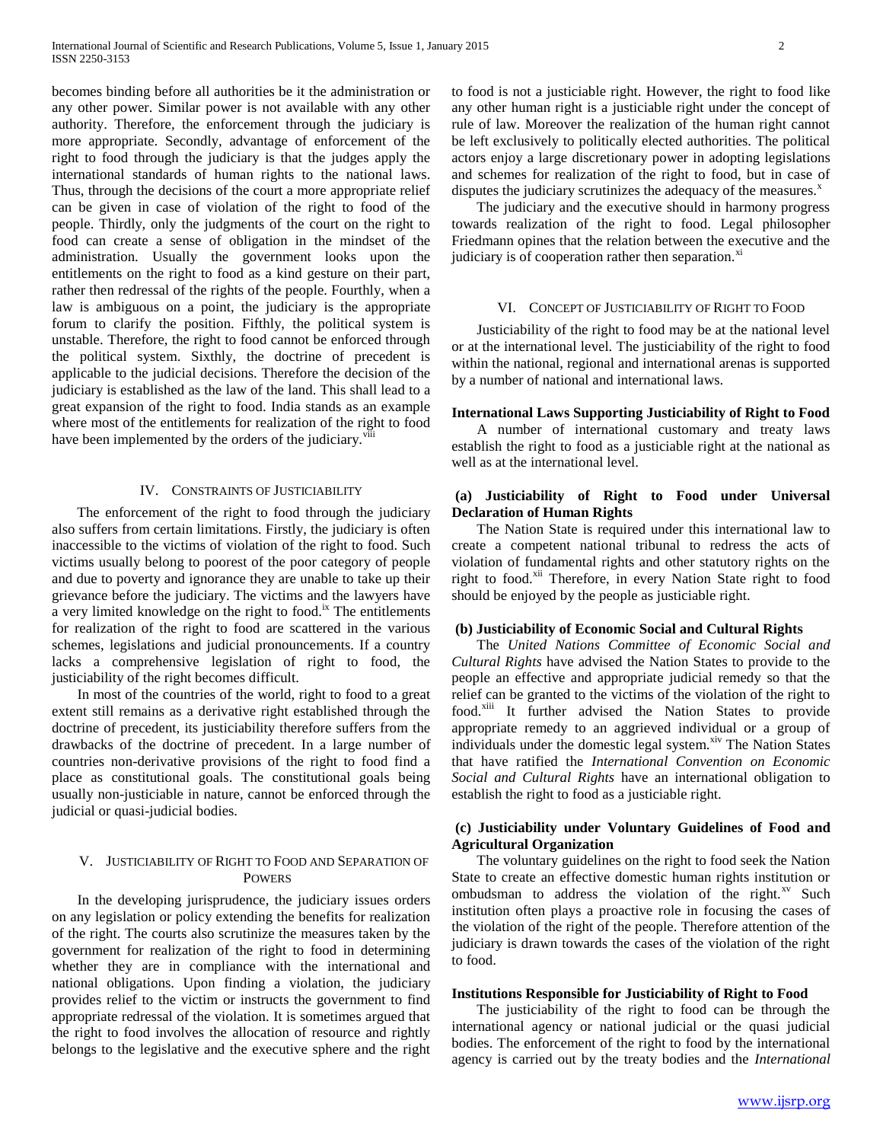becomes binding before all authorities be it the administration or any other power. Similar power is not available with any other authority. Therefore, the enforcement through the judiciary is more appropriate. Secondly, advantage of enforcement of the right to food through the judiciary is that the judges apply the international standards of human rights to the national laws. Thus, through the decisions of the court a more appropriate relief can be given in case of violation of the right to food of the people. Thirdly, only the judgments of the court on the right to food can create a sense of obligation in the mindset of the administration. Usually the government looks upon the entitlements on the right to food as a kind gesture on their part, rather then redressal of the rights of the people. Fourthly, when a law is ambiguous on a point, the judiciary is the appropriate forum to clarify the position. Fifthly, the political system is unstable. Therefore, the right to food cannot be enforced through the political system. Sixthly, the doctrine of precedent is applicable to the judicial decisions. Therefore the decision of the judiciary is established as the law of the land. This shall lead to a great expansion of the right to food. India stands as an example where most of the entitlements for realization of the right to food have been implemented by the orders of the judiciary.<sup>v</sup>

## IV. CONSTRAINTS OF JUSTICIABILITY

 The enforcement of the right to food through the judiciary also suffers from certain limitations. Firstly, the judiciary is often inaccessible to the victims of violation of the right to food. Such victims usually belong to poorest of the poor category of people and due to poverty and ignorance they are unable to take up their grievance before the judiciary. The victims and the lawyers have a very limited knowledge on the right to food.<sup>ix</sup> The entitlements for realization of the right to food are scattered in the various schemes, legislations and judicial pronouncements. If a country lacks a comprehensive legislation of right to food, the justiciability of the right becomes difficult.

 In most of the countries of the world, right to food to a great extent still remains as a derivative right established through the doctrine of precedent, its justiciability therefore suffers from the drawbacks of the doctrine of precedent. In a large number of countries non-derivative provisions of the right to food find a place as constitutional goals. The constitutional goals being usually non-justiciable in nature, cannot be enforced through the judicial or quasi-judicial bodies.

## V. JUSTICIABILITY OF RIGHT TO FOOD AND SEPARATION OF POWERS

 In the developing jurisprudence, the judiciary issues orders on any legislation or policy extending the benefits for realization of the right. The courts also scrutinize the measures taken by the government for realization of the right to food in determining whether they are in compliance with the international and national obligations. Upon finding a violation, the judiciary provides relief to the victim or instructs the government to find appropriate redressal of the violation. It is sometimes argued that the right to food involves the allocation of resource and rightly belongs to the legislative and the executive sphere and the right to food is not a justiciable right. However, the right to food like any other human right is a justiciable right under the concept of rule of law. Moreover the realization of the human right cannot be left exclusively to politically elected authorities. The political actors enjoy a large discretionary power in adopting legislations and schemes for realization of the right to food, but in case of disputes the judiciary scrutinizes the adequacy of the measures. $^x$ 

 The judiciary and the executive should in harmony progress towards realization of the right to food. Legal philosopher Friedmann opines that the relation between the executive and the judiciary is of cooperation rather then separation. $x<sub>i</sub>$ 

## VI. CONCEPT OF JUSTICIABILITY OF RIGHT TO FOOD

 Justiciability of the right to food may be at the national level or at the international level. The justiciability of the right to food within the national, regional and international arenas is supported by a number of national and international laws.

## **International Laws Supporting Justiciability of Right to Food**

 A number of international customary and treaty laws establish the right to food as a justiciable right at the national as well as at the international level.

## **(a) Justiciability of Right to Food under Universal Declaration of Human Rights**

 The Nation State is required under this international law to create a competent national tribunal to redress the acts of violation of fundamental rights and other statutory rights on the right to food.<sup>xii</sup> Therefore, in every Nation State right to food should be enjoyed by the people as justiciable right.

## **(b) Justiciability of Economic Social and Cultural Rights**

 The *United Nations Committee of Economic Social and Cultural Rights* have advised the Nation States to provide to the people an effective and appropriate judicial remedy so that the relief can be granted to the victims of the violation of the right to food.<sup>xiii</sup> It further advised the Nation States to provide appropriate remedy to an aggrieved individual or a group of individuals under the domestic legal system.<sup>xiv</sup> The Nation States that have ratified the *International Convention on Economic Social and Cultural Rights* have an international obligation to establish the right to food as a justiciable right.

# **(c) Justiciability under Voluntary Guidelines of Food and Agricultural Organization**

 The voluntary guidelines on the right to food seek the Nation State to create an effective domestic human rights institution or ombudsman to address the violation of the right.<sup>xv</sup> Such institution often plays a proactive role in focusing the cases of the violation of the right of the people. Therefore attention of the judiciary is drawn towards the cases of the violation of the right to food.

#### **Institutions Responsible for Justiciability of Right to Food**

 The justiciability of the right to food can be through the international agency or national judicial or the quasi judicial bodies. The enforcement of the right to food by the international agency is carried out by the treaty bodies and the *International*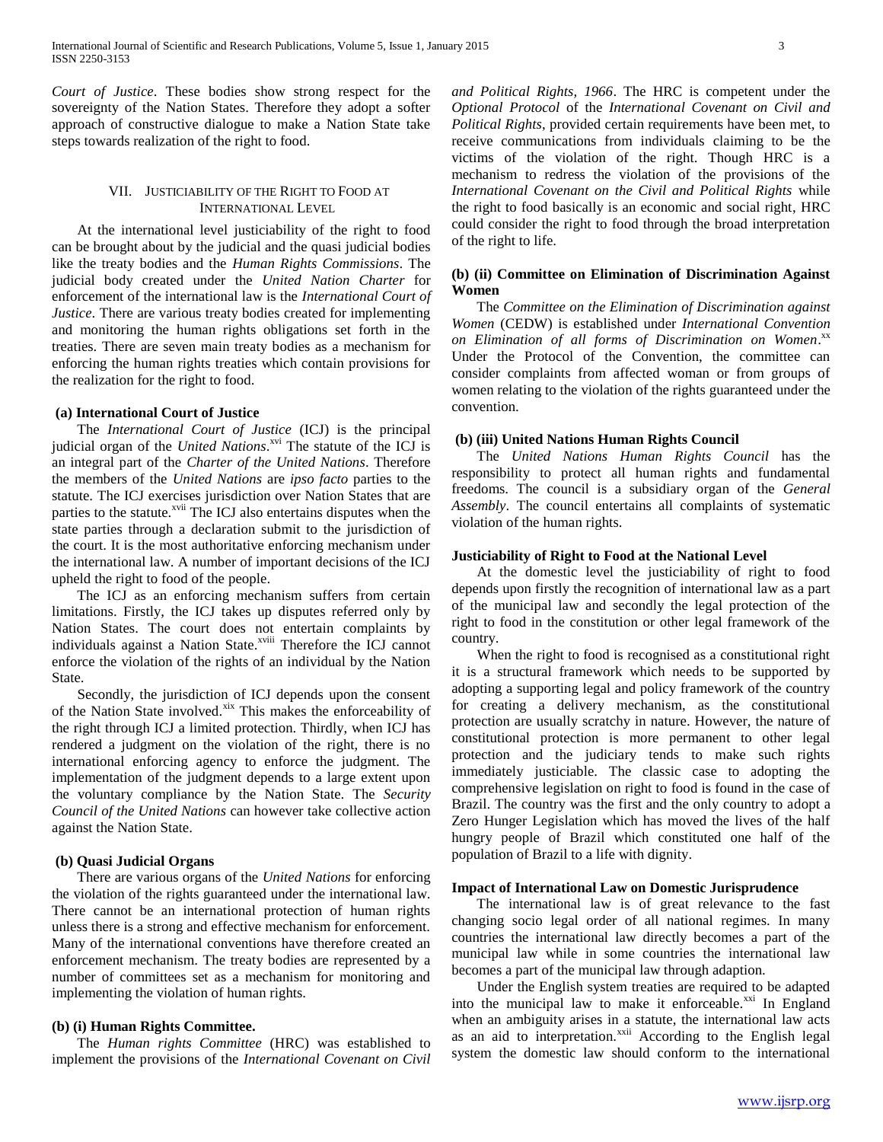*Court of Justice*. These bodies show strong respect for the sovereignty of the Nation States. Therefore they adopt a softer approach of constructive dialogue to make a Nation State take steps towards realization of the right to food.

# VII. JUSTICIABILITY OF THE RIGHT TO FOOD AT INTERNATIONAL LEVEL

 At the international level justiciability of the right to food can be brought about by the judicial and the quasi judicial bodies like the treaty bodies and the *Human Rights Commissions*. The judicial body created under the *United Nation Charter* for enforcement of the international law is the *International Court of Justice*. There are various treaty bodies created for implementing and monitoring the human rights obligations set forth in the treaties. There are seven main treaty bodies as a mechanism for enforcing the human rights treaties which contain provisions for the realization for the right to food.

## **(a) International Court of Justice**

 The *International Court of Justice* (ICJ) is the principal judicial organ of the *United Nations*.<sup>xvi</sup> The statute of the ICJ is an integral part of the *Charter of the United Nations*. Therefore the members of the *United Nations* are *ipso facto* parties to the statute. The ICJ exercises jurisdiction over Nation States that are parties to the statute.<sup>xvii</sup> The ICJ also entertains disputes when the state parties through a declaration submit to the jurisdiction of the court. It is the most authoritative enforcing mechanism under the international law. A number of important decisions of the ICJ upheld the right to food of the people.

 The ICJ as an enforcing mechanism suffers from certain limitations. Firstly, the ICJ takes up disputes referred only by Nation States. The court does not entertain complaints by individuals against a Nation State.<sup>xviii</sup> Therefore the ICJ cannot enforce the violation of the rights of an individual by the Nation State.

 Secondly, the jurisdiction of ICJ depends upon the consent of the Nation State involved.<sup>xix</sup> This makes the enforceability of the right through ICJ a limited protection. Thirdly, when ICJ has rendered a judgment on the violation of the right, there is no international enforcing agency to enforce the judgment. The implementation of the judgment depends to a large extent upon the voluntary compliance by the Nation State. The *Security Council of the United Nations* can however take collective action against the Nation State.

## **(b) Quasi Judicial Organs**

 There are various organs of the *United Nations* for enforcing the violation of the rights guaranteed under the international law. There cannot be an international protection of human rights unless there is a strong and effective mechanism for enforcement. Many of the international conventions have therefore created an enforcement mechanism. The treaty bodies are represented by a number of committees set as a mechanism for monitoring and implementing the violation of human rights.

#### **(b) (i) Human Rights Committee.**

 The *Human rights Committee* (HRC) was established to implement the provisions of the *International Covenant on Civil*  *and Political Rights, 1966*. The HRC is competent under the *Optional Protocol* of the *International Covenant on Civil and Political Rights*, provided certain requirements have been met, to receive communications from individuals claiming to be the victims of the violation of the right. Though HRC is a mechanism to redress the violation of the provisions of the *International Covenant on the Civil and Political Rights* while the right to food basically is an economic and social right, HRC could consider the right to food through the broad interpretation of the right to life.

## **(b) (ii) Committee on Elimination of Discrimination Against Women**

 The *Committee on the Elimination of Discrimination against Women* (CEDW) is established under *International Convention*  on Elimination of all forms of Discrimination on Women.<sup>xx</sup> Under the Protocol of the Convention, the committee can consider complaints from affected woman or from groups of women relating to the violation of the rights guaranteed under the convention.

## **(b) (iii) United Nations Human Rights Council**

 The *United Nations Human Rights Council* has the responsibility to protect all human rights and fundamental freedoms. The council is a subsidiary organ of the *General Assembly*. The council entertains all complaints of systematic violation of the human rights.

## **Justiciability of Right to Food at the National Level**

 At the domestic level the justiciability of right to food depends upon firstly the recognition of international law as a part of the municipal law and secondly the legal protection of the right to food in the constitution or other legal framework of the country.

 When the right to food is recognised as a constitutional right it is a structural framework which needs to be supported by adopting a supporting legal and policy framework of the country for creating a delivery mechanism, as the constitutional protection are usually scratchy in nature. However, the nature of constitutional protection is more permanent to other legal protection and the judiciary tends to make such rights immediately justiciable. The classic case to adopting the comprehensive legislation on right to food is found in the case of Brazil. The country was the first and the only country to adopt a Zero Hunger Legislation which has moved the lives of the half hungry people of Brazil which constituted one half of the population of Brazil to a life with dignity.

## **Impact of International Law on Domestic Jurisprudence**

 The international law is of great relevance to the fast changing socio legal order of all national regimes. In many countries the international law directly becomes a part of the municipal law while in some countries the international law becomes a part of the municipal law through adaption.

 Under the English system treaties are required to be adapted into the municipal law to make it enforceable.<sup>xxi</sup> In England when an ambiguity arises in a statute, the international law acts as an aid to interpretation.<sup>xxii</sup> According to the English legal system the domestic law should conform to the international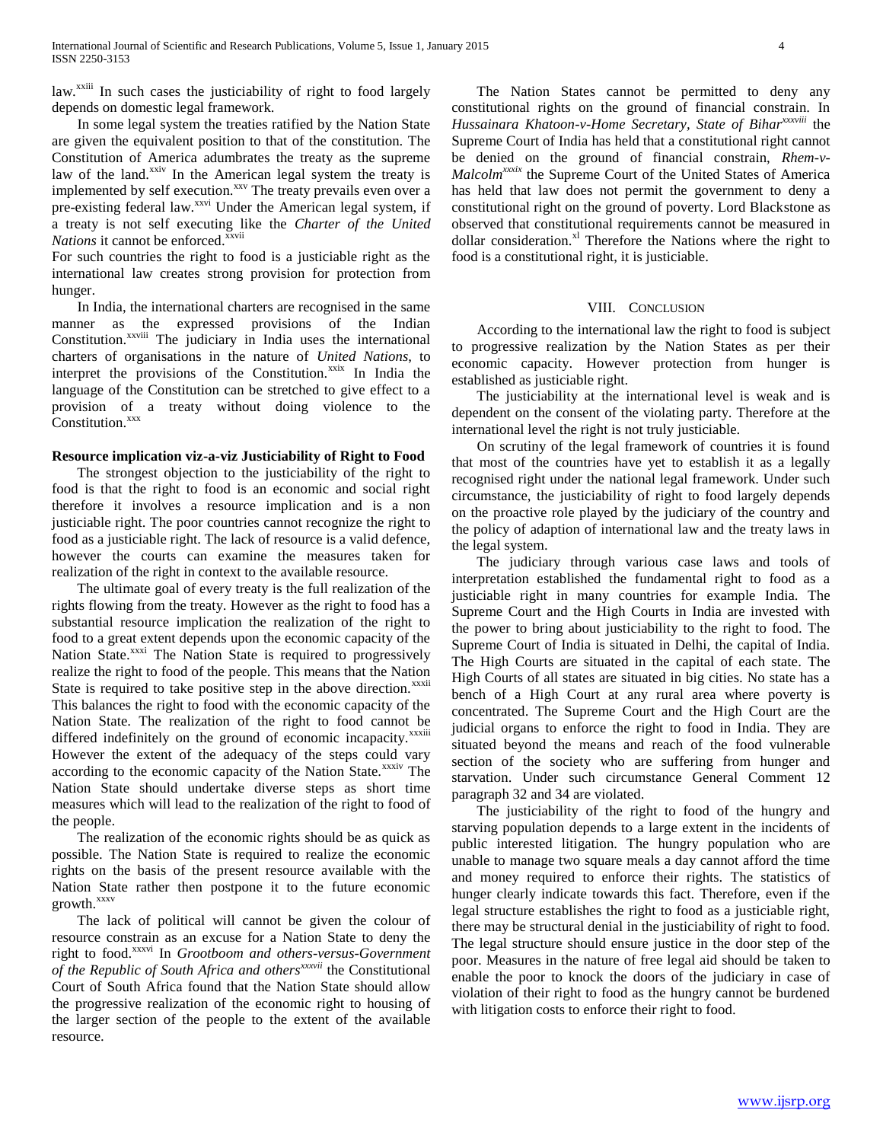law.<sup>xxiii</sup> In such cases the justiciability of right to food largely depends on domestic legal framework.

 In some legal system the treaties ratified by the Nation State are given the equivalent position to that of the constitution. The Constitution of America adumbrates the treaty as the supreme law of the land.<sup>xxiv</sup> In the American legal system the treaty is implemented by self execution.<sup>xxv</sup> The treaty prevails even over a pre-existing federal law.<sup>xxvi</sup> Under the American legal system, if a treaty is not self executing like the *Charter of the United Nations* it cannot be enforced.<sup>xxvii</sup>

For such countries the right to food is a justiciable right as the international law creates strong provision for protection from hunger.

 In India, the international charters are recognised in the same manner as the expressed provisions of the Indian Constitution.<sup>xxviii</sup> The judiciary in India uses the international charters of organisations in the nature of *United Nations*, to interpret the provisions of the Constitution.<sup>xxix</sup> In India the language of the Constitution can be stretched to give effect to a provision of a treaty without doing violence to the Constitution.<sup>xxx</sup>

## **Resource implication viz-a-viz Justiciability of Right to Food**

 The strongest objection to the justiciability of the right to food is that the right to food is an economic and social right therefore it involves a resource implication and is a non justiciable right. The poor countries cannot recognize the right to food as a justiciable right. The lack of resource is a valid defence, however the courts can examine the measures taken for realization of the right in context to the available resource.

 The ultimate goal of every treaty is the full realization of the rights flowing from the treaty. However as the right to food has a substantial resource implication the realization of the right to food to a great extent depends upon the economic capacity of the Nation State.<sup>xxxi</sup> The Nation State is required to progressively realize the right to food of the people. This means that the Nation State is required to take positive step in the above direction.<sup>xxxii</sup> This balances the right to food with the economic capacity of the Nation State. The realization of the right to food cannot be differed indefinitely on the ground of economic incapacity.<sup>xxxiii</sup> However the extent of the adequacy of the steps could vary according to the economic capacity of the Nation State.<sup>xxxiv</sup> The Nation State should undertake diverse steps as short time measures which will lead to the realization of the right to food of the people.

 The realization of the economic rights should be as quick as possible. The Nation State is required to realize the economic rights on the basis of the present resource available with the Nation State rather then postpone it to the future economic growth.<sup>xxxv</sup>

 The lack of political will cannot be given the colour of resource constrain as an excuse for a Nation State to deny the right to food.xxxvi In *Grootboom and others-versus-Government of the Republic of South Africa and othersxxxvii* the Constitutional Court of South Africa found that the Nation State should allow the progressive realization of the economic right to housing of the larger section of the people to the extent of the available resource.

 The Nation States cannot be permitted to deny any constitutional rights on the ground of financial constrain. In *Hussainara Khatoon-v-Home Secretary, State of Biharxxxviii* the Supreme Court of India has held that a constitutional right cannot be denied on the ground of financial constrain, *Rhem-v-Malcolmxxxix* the Supreme Court of the United States of America has held that law does not permit the government to deny a constitutional right on the ground of poverty. Lord Blackstone as observed that constitutional requirements cannot be measured in dollar consideration. $x<sup>1</sup>$  Therefore the Nations where the right to food is a constitutional right, it is justiciable.

## VIII. CONCLUSION

 According to the international law the right to food is subject to progressive realization by the Nation States as per their economic capacity. However protection from hunger is established as justiciable right.

 The justiciability at the international level is weak and is dependent on the consent of the violating party. Therefore at the international level the right is not truly justiciable.

 On scrutiny of the legal framework of countries it is found that most of the countries have yet to establish it as a legally recognised right under the national legal framework. Under such circumstance, the justiciability of right to food largely depends on the proactive role played by the judiciary of the country and the policy of adaption of international law and the treaty laws in the legal system.

 The judiciary through various case laws and tools of interpretation established the fundamental right to food as a justiciable right in many countries for example India. The Supreme Court and the High Courts in India are invested with the power to bring about justiciability to the right to food. The Supreme Court of India is situated in Delhi, the capital of India. The High Courts are situated in the capital of each state. The High Courts of all states are situated in big cities. No state has a bench of a High Court at any rural area where poverty is concentrated. The Supreme Court and the High Court are the judicial organs to enforce the right to food in India. They are situated beyond the means and reach of the food vulnerable section of the society who are suffering from hunger and starvation. Under such circumstance General Comment 12 paragraph 32 and 34 are violated.

 The justiciability of the right to food of the hungry and starving population depends to a large extent in the incidents of public interested litigation. The hungry population who are unable to manage two square meals a day cannot afford the time and money required to enforce their rights. The statistics of hunger clearly indicate towards this fact. Therefore, even if the legal structure establishes the right to food as a justiciable right, there may be structural denial in the justiciability of right to food. The legal structure should ensure justice in the door step of the poor. Measures in the nature of free legal aid should be taken to enable the poor to knock the doors of the judiciary in case of violation of their right to food as the hungry cannot be burdened with litigation costs to enforce their right to food.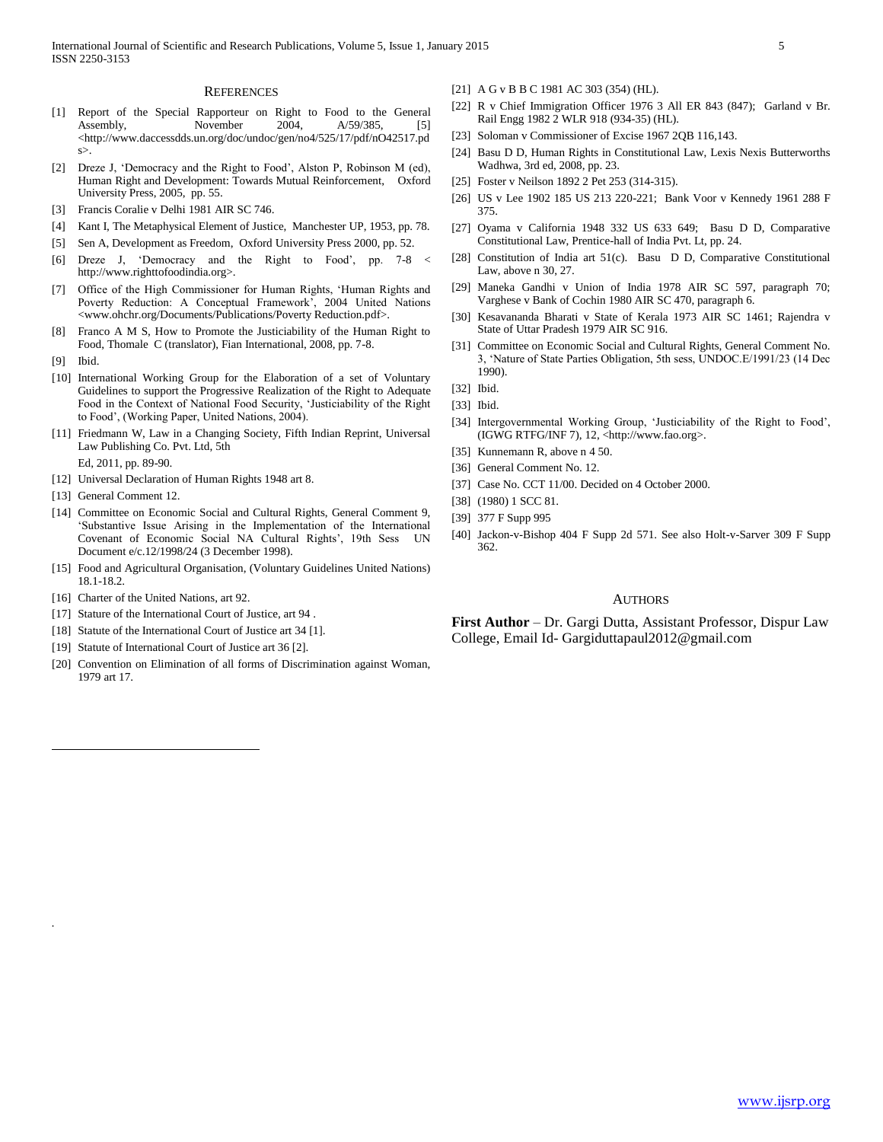#### **REFERENCES**

- [1] Report of the Special Rapporteur on Right to Food to the General Assembly, November 2004, A/59/385, [5] <http://www.daccessdds.un.org/doc/undoc/gen/no4/525/17/pdf/nO42517.pd s>.
- [2] Dreze J, 'Democracy and the Right to Food', Alston P, Robinson M (ed), Human Right and Development: Towards Mutual Reinforcement, Oxford University Press, 2005, pp. 55.
- [3] Francis Coralie v Delhi 1981 AIR SC 746.
- [4] Kant I, The Metaphysical Element of Justice, Manchester UP, 1953, pp. 78.
- [5] Sen A, Development as Freedom, Oxford University Press 2000, pp. 52.
- [6] Dreze J, 'Democracy and the Right to Food', pp. 7-8 < http://www.righttofoodindia.org>.
- [7] Office of the High Commissioner for Human Rights, 'Human Rights and Poverty Reduction: A Conceptual Framework', 2004 United Nations <www.ohchr.org/Documents/Publications/Poverty Reduction.pdf>.
- [8] Franco A M S, How to Promote the Justiciability of the Human Right to Food, Thomale C (translator), Fian International, 2008, pp. 7-8.
- [9] Ibid.

 $\overline{a}$ 

*.*

- [10] International Working Group for the Elaboration of a set of Voluntary Guidelines to support the Progressive Realization of the Right to Adequate Food in the Context of National Food Security, 'Justiciability of the Right to Food', (Working Paper, United Nations, 2004).
- [11] Friedmann W, Law in a Changing Society, Fifth Indian Reprint, Universal Law Publishing Co. Pvt. Ltd, 5th

Ed, 2011, pp. 89-90.

- [12] Universal Declaration of Human Rights 1948 art 8.
- [13] General Comment 12.
- [14] Committee on Economic Social and Cultural Rights, General Comment 9, 'Substantive Issue Arising in the Implementation of the International Covenant of Economic Social NA Cultural Rights', 19th Sess UN Document e/c.12/1998/24 (3 December 1998).
- [15] Food and Agricultural Organisation, (Voluntary Guidelines United Nations) 18.1-18.2.
- [16] Charter of the United Nations, art 92.
- [17] Stature of the International Court of Justice, art 94 .
- [18] Statute of the International Court of Justice art 34 [1].
- [19] Statute of International Court of Justice art 36 [2].
- [20] Convention on Elimination of all forms of Discrimination against Woman, 1979 art 17.
- [21] A G v B B C 1981 AC 303 (354) (HL).
- [22] R v Chief Immigration Officer 1976 3 All ER 843 (847); Garland v Br. Rail Engg 1982 2 WLR 918 (934-35) (HL).
- [23] Soloman v Commissioner of Excise 1967 2QB 116,143.
- [24] Basu D D, Human Rights in Constitutional Law, Lexis Nexis Butterworths Wadhwa, 3rd ed, 2008, pp. 23.
- [25] Foster v Neilson 1892 2 Pet 253 (314-315).
- [26] US v Lee 1902 185 US 213 220-221; Bank Voor v Kennedy 1961 288 F 375.
- [27] Oyama v California 1948 332 US 633 649; Basu D D, Comparative Constitutional Law, Prentice-hall of India Pvt. Lt, pp. 24.
- [28] Constitution of India art 51(c). Basu D D, Comparative Constitutional Law, above n 30, 27.
- [29] Maneka Gandhi v Union of India 1978 AIR SC 597, paragraph 70; Varghese v Bank of Cochin 1980 AIR SC 470, paragraph 6.
- [30] Kesavananda Bharati v State of Kerala 1973 AIR SC 1461; Rajendra v State of Uttar Pradesh 1979 AIR SC 916.
- [31] Committee on Economic Social and Cultural Rights, General Comment No. 3, 'Nature of State Parties Obligation, 5th sess, UNDOC.E/1991/23 (14 Dec 1990).
- [32] Ibid.
- [33] Ibid.
- [34] Intergovernmental Working Group, 'Justiciability of the Right to Food', (IGWG RTFG/INF 7), 12, <http://www.fao.org>.
- [35] Kunnemann R, above n 4 50.
- [36] General Comment No. 12.
- [37] Case No. CCT 11/00. Decided on 4 October 2000.
- [38] (1980) 1 SCC 81.
- [39] 377 F Supp 995
- [40] Jackon-v-Bishop 404 F Supp 2d 571. See also Holt-v-Sarver 309 F Supp 362.

#### AUTHORS

**First Author** – Dr. Gargi Dutta, Assistant Professor, Dispur Law College, Email Id- Gargiduttapaul2012@gmail.com